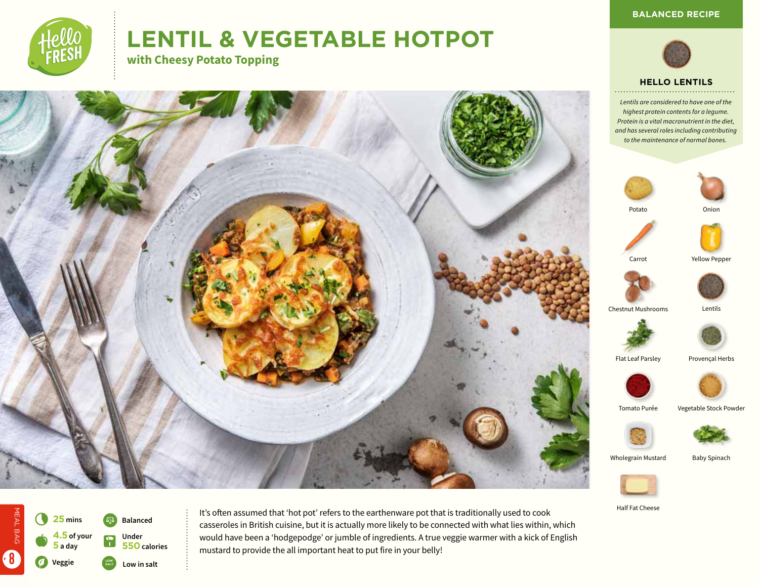

# **LENTIL & VEGETABLE HOTPOT**

**with Cheesy Potato Topping**









*Lentils are considered to have one of the highest protein contents for a legume. Protein is a vital macronutrient in the diet, and has several roles including contributing to the maintenance of normal bones.*





Carrot Yellow Pepper



Chestnut Mushrooms Lentils



Flat Leaf Parsley Provençal Herbs





Wholegrain Mustard Baby Spinach





MEAL BAG

MEAL BAG

8

It's often assumed that 'hot pot' refers to the earthenware pot that is traditionally used to cook casseroles in British cuisine, but it is actually more likely to be connected with what lies within, which would have been a 'hodgepodge' or jumble of ingredients. A true veggie warmer with a kick of English mustard to provide the all important heat to put fire in your belly!